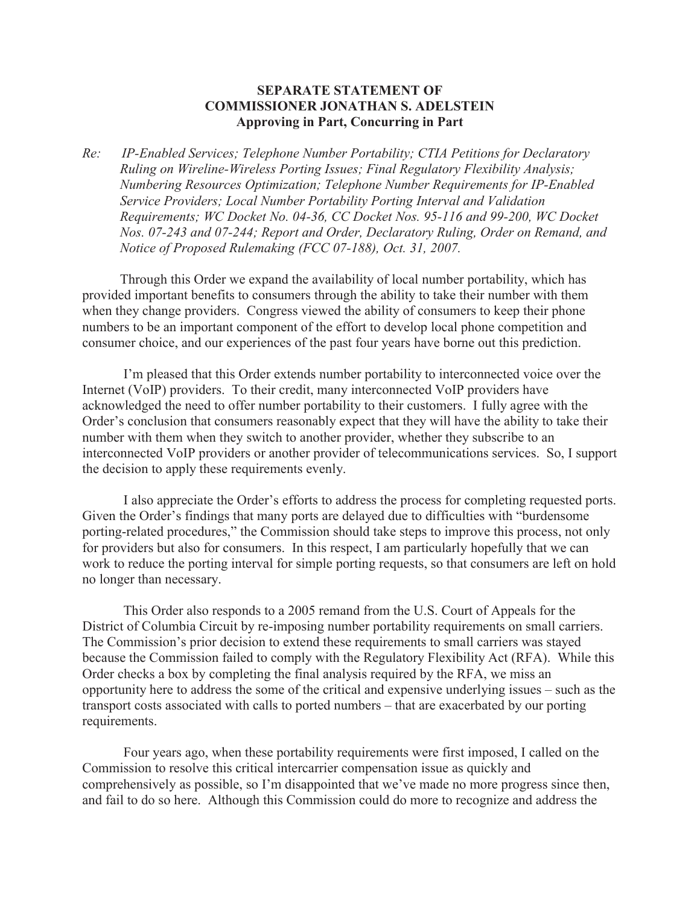## **SEPARATE STATEMENT OF COMMISSIONER JONATHAN S. ADELSTEIN Approving in Part, Concurring in Part**

*Re: IP-Enabled Services; Telephone Number Portability; CTIA Petitions for Declaratory Ruling on Wireline-Wireless Porting Issues; Final Regulatory Flexibility Analysis; Numbering Resources Optimization; Telephone Number Requirements for IP-Enabled Service Providers; Local Number Portability Porting Interval and Validation Requirements; WC Docket No. 04-36, CC Docket Nos. 95-116 and 99-200, WC Docket Nos. 07-243 and 07-244; Report and Order, Declaratory Ruling, Order on Remand, and Notice of Proposed Rulemaking (FCC 07-188), Oct. 31, 2007.*

Through this Order we expand the availability of local number portability, which has provided important benefits to consumers through the ability to take their number with them when they change providers. Congress viewed the ability of consumers to keep their phone numbers to be an important component of the effort to develop local phone competition and consumer choice, and our experiences of the past four years have borne out this prediction.

I'm pleased that this Order extends number portability to interconnected voice over the Internet (VoIP) providers. To their credit, many interconnected VoIP providers have acknowledged the need to offer number portability to their customers. I fully agree with the Order's conclusion that consumers reasonably expect that they will have the ability to take their number with them when they switch to another provider, whether they subscribe to an interconnected VoIP providers or another provider of telecommunications services. So, I support the decision to apply these requirements evenly.

I also appreciate the Order's efforts to address the process for completing requested ports. Given the Order's findings that many ports are delayed due to difficulties with "burdensome porting-related procedures," the Commission should take steps to improve this process, not only for providers but also for consumers. In this respect, I am particularly hopefully that we can work to reduce the porting interval for simple porting requests, so that consumers are left on hold no longer than necessary.

This Order also responds to a 2005 remand from the U.S. Court of Appeals for the District of Columbia Circuit by re-imposing number portability requirements on small carriers. The Commission's prior decision to extend these requirements to small carriers was stayed because the Commission failed to comply with the Regulatory Flexibility Act (RFA). While this Order checks a box by completing the final analysis required by the RFA, we miss an opportunity here to address the some of the critical and expensive underlying issues – such as the transport costs associated with calls to ported numbers – that are exacerbated by our porting requirements.

Four years ago, when these portability requirements were first imposed, I called on the Commission to resolve this critical intercarrier compensation issue as quickly and comprehensively as possible, so I'm disappointed that we've made no more progress since then, and fail to do so here. Although this Commission could do more to recognize and address the